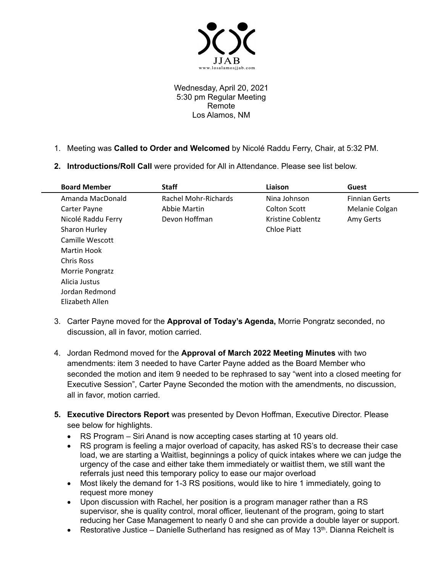

Wednesday, April 20, 2021 5:30 pm Regular Meeting Remote Los Alamos, NM

- 1. Meeting was **Called to Order and Welcomed** by Nicolé Raddu Ferry, Chair, at 5:32 PM.
- **2. Introductions/Roll Call** were provided for All in Attendance. Please see list below.

| <b>Board Member</b> | <b>Staff</b>         | Liaison             | <b>Guest</b>         |
|---------------------|----------------------|---------------------|----------------------|
| Amanda MacDonald    | Rachel Mohr-Richards | Nina Johnson        | <b>Finnian Gerts</b> |
| Carter Payne        | Abbie Martin         | <b>Colton Scott</b> | Melanie Colgan       |
| Nicolé Raddu Ferry  | Devon Hoffman        | Kristine Coblentz   | Amy Gerts            |
| Sharon Hurley       |                      | Chloe Piatt         |                      |
| Camille Wescott     |                      |                     |                      |
| Martin Hook         |                      |                     |                      |
| <b>Chris Ross</b>   |                      |                     |                      |
| Morrie Pongratz     |                      |                     |                      |
| Alicia Justus       |                      |                     |                      |
| Jordan Redmond      |                      |                     |                      |
| Elizabeth Allen     |                      |                     |                      |

- 3. Carter Payne moved for the **Approval of Today's Agenda,** Morrie Pongratz seconded, no discussion, all in favor, motion carried.
- 4. Jordan Redmond moved for the **Approval of March 2022 Meeting Minutes** with two amendments: item 3 needed to have Carter Payne added as the Board Member who seconded the motion and item 9 needed to be rephrased to say "went into a closed meeting for Executive Session", Carter Payne Seconded the motion with the amendments, no discussion, all in favor, motion carried.
- **5. Executive Directors Report** was presented by Devon Hoffman, Executive Director. Please see below for highlights.
	- RS Program Siri Anand is now accepting cases starting at 10 years old.
	- RS program is feeling a major overload of capacity, has asked RS's to decrease their case load, we are starting a Waitlist, beginnings a policy of quick intakes where we can judge the urgency of the case and either take them immediately or waitlist them, we still want the referrals just need this temporary policy to ease our major overload
	- Most likely the demand for 1-3 RS positions, would like to hire 1 immediately, going to request more money
	- Upon discussion with Rachel, her position is a program manager rather than a RS supervisor, she is quality control, moral officer, lieutenant of the program, going to start reducing her Case Management to nearly 0 and she can provide a double layer or support.
	- **•** Restorative Justice Danielle Sutherland has resigned as of May 13<sup>th</sup>. Dianna Reichelt is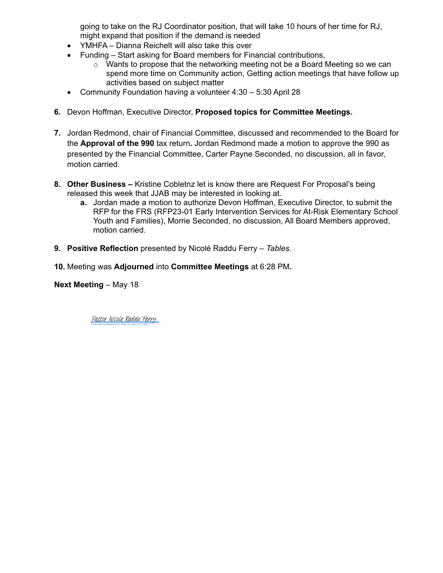going to take on the RJ Coordinator position, that will take 10 hours of her time for RJ, might expand that position if the demand is needed

- YMHFA Dianna Reichelt will also take this over
- Funding Start asking for Board members for Financial contributions,
	- $\circ$  Wants to propose that the networking meeting not be a Board Meeting so we can spend more time on Community action, Getting action meetings that have follow up activities based on subject matter
- Community Foundation having a volunteer 4:30 5:30 April 28
- **6.** Devon Hoffman, Executive Director, **Proposed topics for Committee Meetings.**
- **7.** Jordan Redmond, chair of Financial Committee, discussed and recommended to the Board for the **Approval of the 990** tax return**.** Jordan Redmond made a motion to approve the 990 as presented by the Financial Committee, Carter Payne Seconded, no discussion, all in favor, motion carried.
- **8. Other Business** Kristine Cobletnz let is know there are Request For Proposal's being released this week that JJAB may be interested in looking at.
	- **a.** Jordan made a motion to authorize Devon Hoffman, Executive Director, to submit the RFP for the FRS (RFP23-01 Early Intervention Services for At-Risk Elementary School Youth and Families), Morrie Seconded, no discussion, All Board Members approved, motion carried.
- **9. Positive Reflection** presented by Nicolé Raddu Ferry *Tables.*

**10.** Meeting was **Adjourned** into **Committee Meetings** at 6:28 PM**.** 

**Next Meeting** – May 18

Pastor Nicole Raddu Ferry (May 31, 2022 21:23 MDT) [Pastor Nicole Raddu Ferry](https://na2.documents.adobe.com/verifier?tx=CBJCHBCAABAAgBlkr8-_67TVtmeAUGWTu7J3DvaVe2Nt)